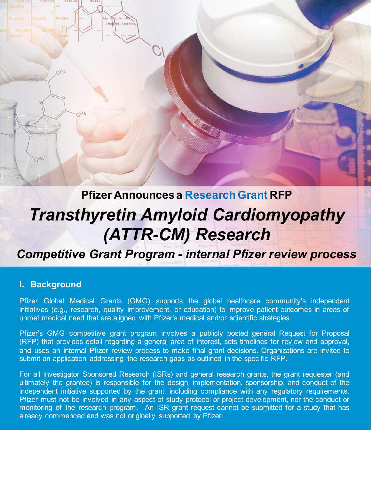

# *Transthyretin Amyloid Cardiomyopathy (ATTR-CM) Research*

*Competitive Grant Program - internal Pfizer review process*

#### **I. Background**

Pfizer Global Medical Grants (GMG) supports the global healthcare community's independent initiatives (e.g., research, quality improvement, or education) to improve patient outcomes in areas of unmet medical need that are aligned with Pfizer's medical and/or scientific strategies.

Pfizer's GMG competitive grant program involves a publicly posted general Request for Proposal (RFP) that provides detail regarding a general area of interest, sets timelines for review and approval, and uses an internal Pfizer review process to make final grant decisions. Organizations are invited to submit an application addressing the research gaps as outlined in the specific RFP.

For all Investigator Sponsored Research (ISRs) and general research grants, the grant requester (and ultimately the grantee) is responsible for the design, implementation, sponsorship, and conduct of the independent initiative supported by the grant, including compliance with any regulatory requirements. Pfizer must not be involved in any aspect of study protocol or project development, nor the conduct or monitoring of the research program. An ISR grant request cannot be submitted for a study that has already commenced and was not originally supported by Pfizer.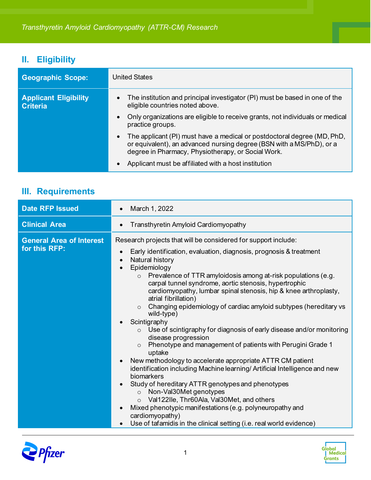# **II. Eligibility**

| <b>Geographic Scope:</b>                        | <b>United States</b>                                                                                                                                                                                  |
|-------------------------------------------------|-------------------------------------------------------------------------------------------------------------------------------------------------------------------------------------------------------|
| <b>Applicant Eligibility</b><br><b>Criteria</b> | The institution and principal investigator (PI) must be based in one of the<br>$\bullet$<br>eligible countries noted above.                                                                           |
|                                                 | Only organizations are eligible to receive grants, not individuals or medical<br>practice groups.                                                                                                     |
|                                                 | The applicant (PI) must have a medical or postdoctoral degree (MD, PhD,<br>or equivalent), an advanced nursing degree (BSN with a MS/PhD), or a<br>degree in Pharmacy, Physiotherapy, or Social Work. |
|                                                 | Applicant must be affiliated with a host institution                                                                                                                                                  |

## **III. Requirements**

| <b>Clinical Area</b><br>Transthyretin Amyloid Cardiomyopathy<br>Research projects that will be considered for support include:<br><b>General Area of Interest</b><br>for this RFP:<br>Early identification, evaluation, diagnosis, prognosis & treatment                                                                                                                                                                                                                                                                                                                                                                                                                                                                                                                                                                                                                                                                                                                                                                | <b>Date RFP Issued</b> |
|-------------------------------------------------------------------------------------------------------------------------------------------------------------------------------------------------------------------------------------------------------------------------------------------------------------------------------------------------------------------------------------------------------------------------------------------------------------------------------------------------------------------------------------------------------------------------------------------------------------------------------------------------------------------------------------------------------------------------------------------------------------------------------------------------------------------------------------------------------------------------------------------------------------------------------------------------------------------------------------------------------------------------|------------------------|
|                                                                                                                                                                                                                                                                                                                                                                                                                                                                                                                                                                                                                                                                                                                                                                                                                                                                                                                                                                                                                         |                        |
| Natural history<br>Epidemiology<br>Prevalence of TTR amyloidosis among at-risk populations (e.g.<br>$\circ$<br>carpal tunnel syndrome, aortic stenosis, hypertrophic<br>cardiomyopathy, lumbar spinal stenosis, hip & knee arthroplasty,<br>atrial fibrillation)<br>Changing epidemiology of cardiac amyloid subtypes (hereditary vs<br>$\circ$<br>wild-type)<br>Scintigraphy<br>Use of scintigraphy for diagnosis of early disease and/or monitoring<br>disease progression<br>Phenotype and management of patients with Perugini Grade 1<br>$\circ$<br>uptake<br>New methodology to accelerate appropriate ATTR CM patient<br>identification including Machine learning/ Artificial Intelligence and new<br>biomarkers<br>Study of hereditary ATTR genotypes and phenotypes<br>Non-Val30Met genotypes<br>$\circ$<br>o Val122lle, Thr60Ala, Val30Met, and others<br>Mixed phenotypic manifestations (e.g. polyneuropathy and<br>cardiomyopathy)<br>Use of tafamidis in the clinical setting (i.e. real world evidence) |                        |



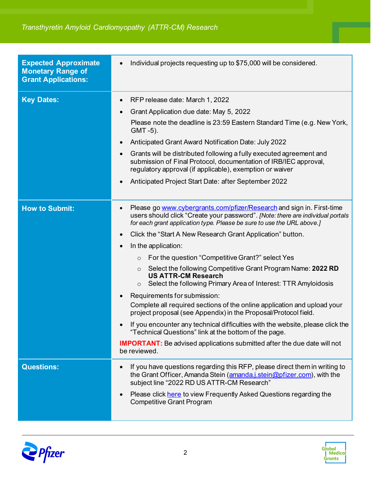| <b>Expected Approximate</b><br><b>Monetary Range of</b> | Individual projects requesting up to \$75,000 will be considered.                                                                                                                                                                              |
|---------------------------------------------------------|------------------------------------------------------------------------------------------------------------------------------------------------------------------------------------------------------------------------------------------------|
| <b>Grant Applications:</b>                              |                                                                                                                                                                                                                                                |
| <b>Key Dates:</b>                                       | RFP release date: March 1, 2022                                                                                                                                                                                                                |
|                                                         | Grant Application due date: May 5, 2022                                                                                                                                                                                                        |
|                                                         | Please note the deadline is 23:59 Eastern Standard Time (e.g. New York,<br>GMT-5).                                                                                                                                                             |
|                                                         | Anticipated Grant Award Notification Date: July 2022                                                                                                                                                                                           |
|                                                         | Grants will be distributed following a fully executed agreement and<br>submission of Final Protocol, documentation of IRB/IEC approval,<br>regulatory approval (if applicable), exemption or waiver                                            |
|                                                         | Anticipated Project Start Date: after September 2022                                                                                                                                                                                           |
| <b>How to Submit:</b>                                   | Please go www.cybergrants.com/pfizer/Research and sign in. First-time<br>$\bullet$<br>users should click "Create your password". [Note: there are individual portals<br>for each grant application type. Please be sure to use the URL above.] |
|                                                         | Click the "Start A New Research Grant Application" button.                                                                                                                                                                                     |
|                                                         | In the application:                                                                                                                                                                                                                            |
|                                                         | For the question "Competitive Grant?" select Yes<br>$\circ$                                                                                                                                                                                    |
|                                                         | Select the following Competitive Grant Program Name: 2022 RD<br>$\circ$<br><b>US ATTR-CM Research</b><br>Select the following Primary Area of Interest: TTR Amyloidosis<br>$\circ$                                                             |
|                                                         | Requirements for submission:                                                                                                                                                                                                                   |
|                                                         | Complete all required sections of the online application and upload your<br>project proposal (see Appendix) in the Proposal/Protocol field.                                                                                                    |
|                                                         | If you encounter any technical difficulties with the website, please click the<br>"Technical Questions" link at the bottom of the page.                                                                                                        |
|                                                         | <b>IMPORTANT:</b> Be advised applications submitted after the due date will not<br>be reviewed.                                                                                                                                                |
| <b>Questions:</b>                                       | If you have questions regarding this RFP, please direct them in writing to<br>the Grant Officer, Amanda Stein (amanda.j.stein@pfizer.com), with the<br>subject line "2022 RD US ATTR-CM Research"                                              |
|                                                         | Please click here to view Frequently Asked Questions regarding the<br><b>Competitive Grant Program</b>                                                                                                                                         |



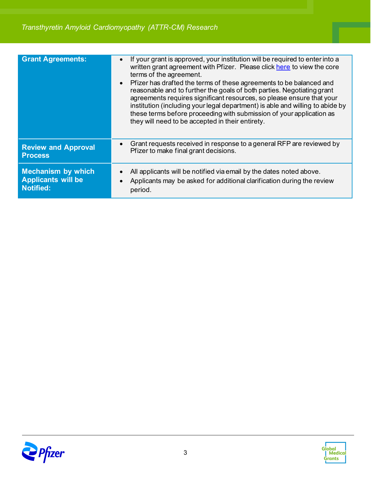| <b>Grant Agreements:</b>   | If your grant is approved, your institution will be required to enter into a<br>written grant agreement with Pfizer. Please click here to view the core<br>terms of the agreement.<br>Pfizer has drafted the terms of these agreements to be balanced and<br>reasonable and to further the goals of both parties. Negotiating grant<br>agreements requires significant resources, so please ensure that your<br>institution (including your legal department) is able and willing to abide by<br>these terms before proceeding with submission of your application as<br>they will need to be accepted in their entirety. |
|----------------------------|---------------------------------------------------------------------------------------------------------------------------------------------------------------------------------------------------------------------------------------------------------------------------------------------------------------------------------------------------------------------------------------------------------------------------------------------------------------------------------------------------------------------------------------------------------------------------------------------------------------------------|
| <b>Review and Approval</b> | Grant requests received in response to a general RFP are reviewed by                                                                                                                                                                                                                                                                                                                                                                                                                                                                                                                                                      |
| <b>Process</b>             | Pfizer to make final grant decisions.                                                                                                                                                                                                                                                                                                                                                                                                                                                                                                                                                                                     |
| <b>Mechanism by which</b>  | All applicants will be notified via email by the dates noted above.                                                                                                                                                                                                                                                                                                                                                                                                                                                                                                                                                       |
| <b>Applicants will be</b>  | Applicants may be asked for additional clarification during the review                                                                                                                                                                                                                                                                                                                                                                                                                                                                                                                                                    |
| <b>Notified:</b>           | period.                                                                                                                                                                                                                                                                                                                                                                                                                                                                                                                                                                                                                   |



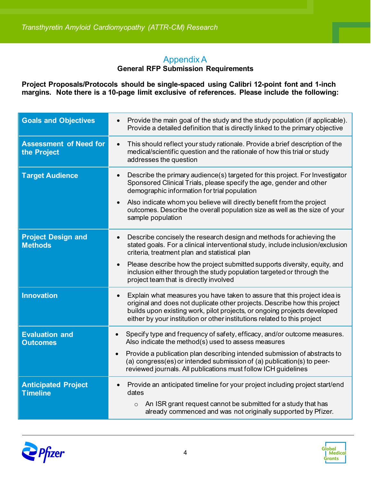### Appendix A

#### **General RFP Submission Requirements**

**Project Proposals/Protocols should be single-spaced using Calibri 12-point font and 1-inch margins. Note there is a 10-page limit exclusive of references. Please include the following:**

| <b>Goals and Objectives</b>                   | Provide the main goal of the study and the study population (if applicable).<br>$\bullet$<br>Provide a detailed definition that is directly linked to the primary objective                                                                                                                                                |
|-----------------------------------------------|----------------------------------------------------------------------------------------------------------------------------------------------------------------------------------------------------------------------------------------------------------------------------------------------------------------------------|
| <b>Assessment of Need for</b><br>the Project  | This should reflect your study rationale. Provide a brief description of the<br>$\bullet$<br>medical/scientific question and the rationale of how this trial or study<br>addresses the question                                                                                                                            |
| <b>Target Audience</b>                        | Describe the primary audience(s) targeted for this project. For Investigator<br>$\bullet$<br>Sponsored Clinical Trials, please specify the age, gender and other<br>demographic information for trial population                                                                                                           |
|                                               | Also indicate whom you believe will directly benefit from the project<br>$\bullet$<br>outcomes. Describe the overall population size as well as the size of your<br>sample population                                                                                                                                      |
| <b>Project Design and</b><br><b>Methods</b>   | Describe concisely the research design and methods for achieving the<br>$\bullet$<br>stated goals. For a clinical interventional study, include inclusion/exclusion<br>criteria, treatment plan and statistical plan                                                                                                       |
|                                               | Please describe how the project submitted supports diversity, equity, and<br>$\bullet$<br>inclusion either through the study population targeted or through the<br>project team that is directly involved                                                                                                                  |
| <b>Innovation</b>                             | Explain what measures you have taken to assure that this project idea is<br>$\bullet$<br>original and does not duplicate other projects. Describe how this project<br>builds upon existing work, pilot projects, or ongoing projects developed<br>either by your institution or other institutions related to this project |
| <b>Evaluation and</b><br><b>Outcomes</b>      | Specify type and frequency of safety, efficacy, and/or outcome measures.<br>Also indicate the method(s) used to assess measures                                                                                                                                                                                            |
|                                               | Provide a publication plan describing intended submission of abstracts to<br>$\bullet$<br>(a) congress(es) or intended submission of (a) publication(s) to peer-<br>reviewed journals. All publications must follow ICH guidelines                                                                                         |
| <b>Anticipated Project</b><br><b>Timeline</b> | Provide an anticipated timeline for your project including project start/end<br>$\bullet$<br>dates                                                                                                                                                                                                                         |
|                                               | An ISR grant request cannot be submitted for a study that has<br>$\circ$<br>already commenced and was not originally supported by Pfizer.                                                                                                                                                                                  |